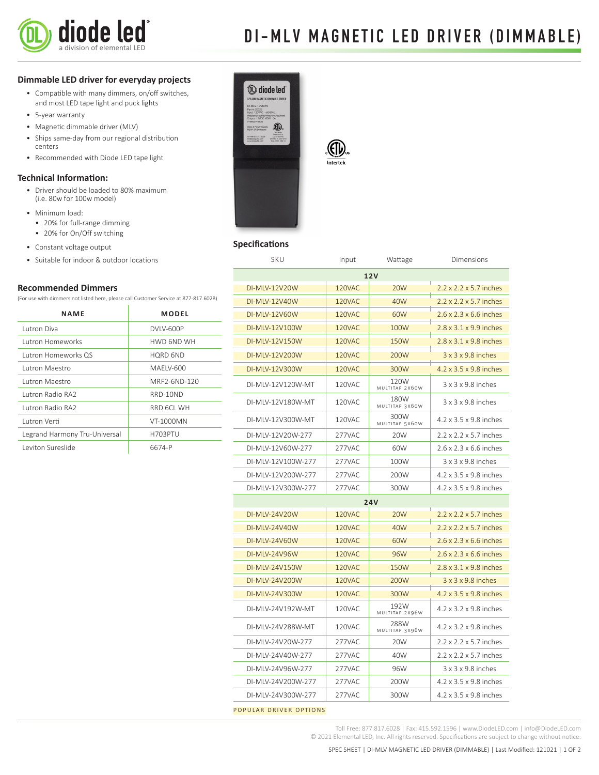

# DI-MLV MAGNETIC LED DRIVER (DIMMABLE)

# **Dimmable LED driver for everyday projects**

- Compatible with many dimmers, on/off switches, and most LED tape light and puck lights
- 5-year warranty
- Magnetic dimmable driver (MLV)
- Ships same-day from our regional distribution centers
- Recommended with Diode LED tape light

# **Technical Information:**

- Driver should be loaded to 80% maximum (i.e. 80w for 100w model)
- Minimum load:
	- 20% for full-range dimming
	- 20% for On/Off switching
- Constant voltage output
- Suitable for indoor & outdoor locations

# **Recommended Dimmers**

(For use with dimmers not listed here, please call Customer Service at 877-817.6028)

| <b>NAME</b>                   | MODEL           |  |
|-------------------------------|-----------------|--|
| Lutron Diva                   | DVIV-600P       |  |
| <b>Lutron Homeworks</b>       | HWD 6ND WH      |  |
| Lutron Homeworks QS           | <b>HORD 6ND</b> |  |
| Lutron Maestro                | MAFIV-600       |  |
| Lutron Maestro                | MRF2-6ND-120    |  |
| Lutron Radio RA2              | RRD-10ND        |  |
| Lutron Radio RA2              | RRD 6CL WH      |  |
| Lutron Verti                  | VT-1000MN       |  |
| Legrand Harmony Tru-Universal | H703PTU         |  |
| Leviton Sureslide             | 6674-P          |  |



# **Specifications**

| SKU                  | Input  | Wattage                | Dimensions                         |
|----------------------|--------|------------------------|------------------------------------|
| 12V                  |        |                        |                                    |
| DI-MLV-12V20W        | 120VAC | <b>20W</b>             | 2.2 x 2.2 x 5.7 inches             |
| DI-MLV-12V40W        | 120VAC | 40W                    | $2.2 \times 2.2 \times 5.7$ inches |
| <b>DI-MLV-12V60W</b> | 120VAC | 60W                    | $2.6 \times 2.3 \times 6.6$ inches |
| DI-MLV-12V100W       | 120VAC | 100W                   | $2.8 \times 3.1 \times 9.9$ inches |
| DI-MLV-12V150W       | 120VAC | 150W                   | $2.8 \times 3.1 \times 9.8$ inches |
| DI-MLV-12V200W       | 120VAC | 200W                   | $3 \times 3 \times 9.8$ inches     |
| DI-MLV-12V300W       | 120VAC | 300W                   | 4.2 x 3.5 x 9.8 inches             |
| DI-MLV-12V120W-MT    | 120VAC | 120W<br>MULTITAP 2X60W | $3 \times 3 \times 9.8$ inches     |
| DI-MLV-12V180W-MT    | 120VAC | 180W<br>MULTITAP 3X60W | $3 \times 3 \times 9.8$ inches     |
| DI-MLV-12V300W-MT    | 120VAC | 300W<br>MULTITAP 5X60W | 4.2 x 3.5 x 9.8 inches             |
| DI-MLV-12V20W-277    | 277VAC | 20W                    | 2.2 x 2.2 x 5.7 inches             |
| DI-MLV-12V60W-277    | 277VAC | 60W                    | 2.6 x 2.3 x 6.6 inches             |
| DI-MLV-12V100W-277   | 277VAC | 100W                   | 3 x 3 x 9.8 inches                 |
| DI-MLV-12V200W-277   | 277VAC | 200W                   | 4.2 x 3.5 x 9.8 inches             |
| DI-MLV-12V300W-277   | 277VAC | 300W                   | 4.2 x 3.5 x 9.8 inches             |
| <b>24V</b>           |        |                        |                                    |
| DI-MLV-24V20W        | 120VAC | 20W                    | $2.2 \times 2.2 \times 5.7$ inches |
| DI-MLV-24V40W        | 120VAC | 40W                    | $2.2 \times 2.2 \times 5.7$ inches |
| DI-MLV-24V60W        | 120VAC | 60W                    | 2.6 x 2.3 x 6.6 inches             |
| DI-MLV-24V96W        | 120VAC | 96W                    | $2.6 \times 2.3 \times 6.6$ inches |
| DI-MLV-24V150W       | 120VAC | 150W                   | $2.8 \times 3.1 \times 9.8$ inches |
| DI-MLV-24V200W       | 120VAC | 200W                   | $3 \times 3 \times 9.8$ inches     |
| DI-MLV-24V300W       | 120VAC | 300W                   | 4.2 x 3.5 x 9.8 inches             |
| DI-MLV-24V192W-MT    | 120VAC | 192W<br>MULTITAP 2X96W | 4.2 x 3.2 x 9.8 inches             |
| DI-MLV-24V288W-MT    | 120VAC | 288W<br>MULTITAP 3X96W | 4.2 x 3.2 x 9.8 inches             |
| DI-MLV-24V20W-277    | 277VAC | 20W                    | 2.2 x 2.2 x 5.7 inches             |
| DI-MLV-24V40W-277    | 277VAC | 40W                    | 2.2 x 2.2 x 5.7 inches             |
| DI-MLV-24V96W-277    | 277VAC | 96W                    | $3 \times 3 \times 9.8$ inches     |
| DI-MLV-24V200W-277   | 277VAC | 200W                   | 4.2 x 3.5 x 9.8 inches             |
| DI-MLV-24V300W-277   | 277VAC | 300W                   | 4.2 x 3.5 x 9.8 inches             |
|                      |        |                        |                                    |

popular driver options

Toll Free: 877.817.6028 | Fax: 415.592.1596 | www.DiodeLED.com | info@DiodeLED.com © 2021 Elemental LED, Inc. All rights reserved. Specifications are subject to change without notice.